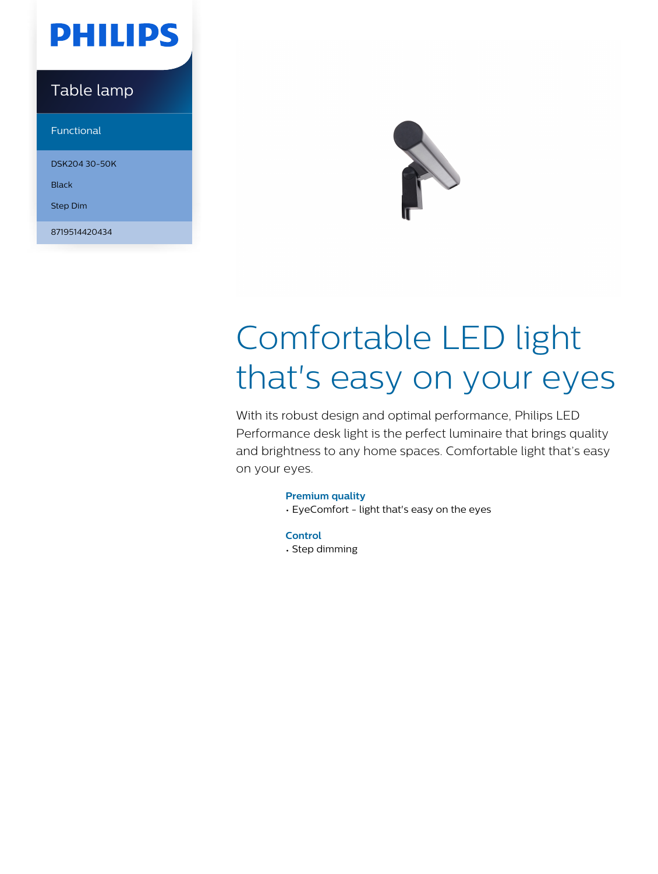## **PHILIPS**

### Table lamp

Functional

DSK204 30-50K

Black

Step Dim

8719514420434



# Comfortable LED light that's easy on your eyes

With its robust design and optimal performance, Philips LED Performance desk light is the perfect luminaire that brings quality and brightness to any home spaces. Comfortable light that's easy on your eyes.

#### **Premium quality**

• EyeComfort - light that's easy on the eyes

**Control** • Step dimming